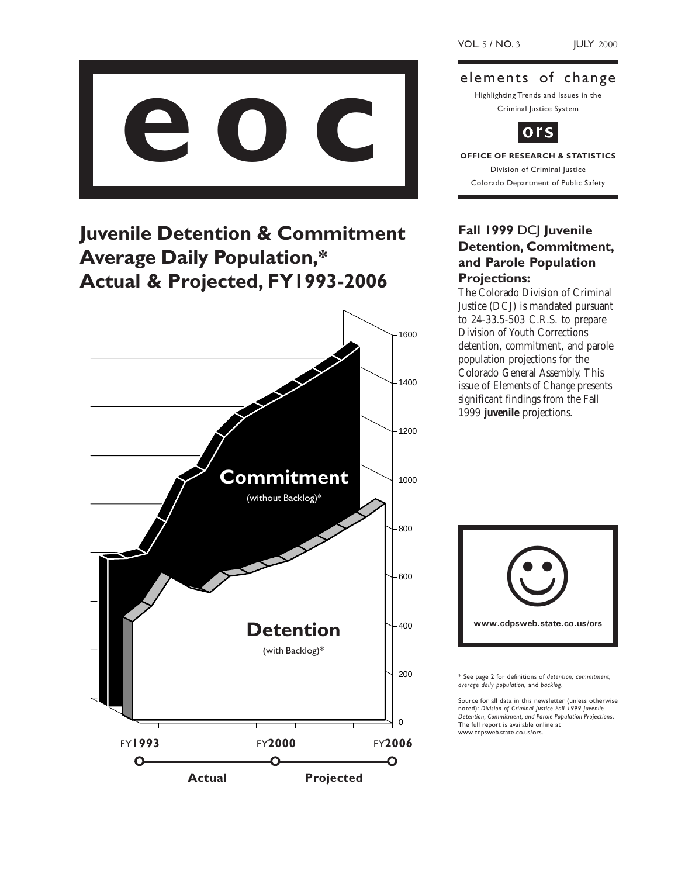

## Juvenile Detention & Commitment Average Daily Population,\* Actual & Projected, FY1993-2006



elements of change

Highlighting Trends and Issues in the Criminal Justice System



# Division of Criminal Justice

Colorado Department of Public Safety

### Fall 1999 DCJ Juvenile Detention, Commitment, and Parole Population Projections:

The Colorado Division of Criminal Justice (DCJ) is mandated pursuant to 24-33.5-503 C.R.S. to prepare Division of Youth Corrections detention, commitment, and parole population projections for the Colorado General Assembly. This issue of *Elements of Change* presents significant findings from the Fall 1999 **juvenile** projections.



\* See page 2 for definitions of detention, commitment, average daily population, and backlog.

Source for all data in this newsletter (unless otherwise noted): Division of Criminal Justice Fall 1999 Juvenile Detention, Commitment, and Parole Population Projections. The full report is available online at www.cdpsweb.state.co.us/ors.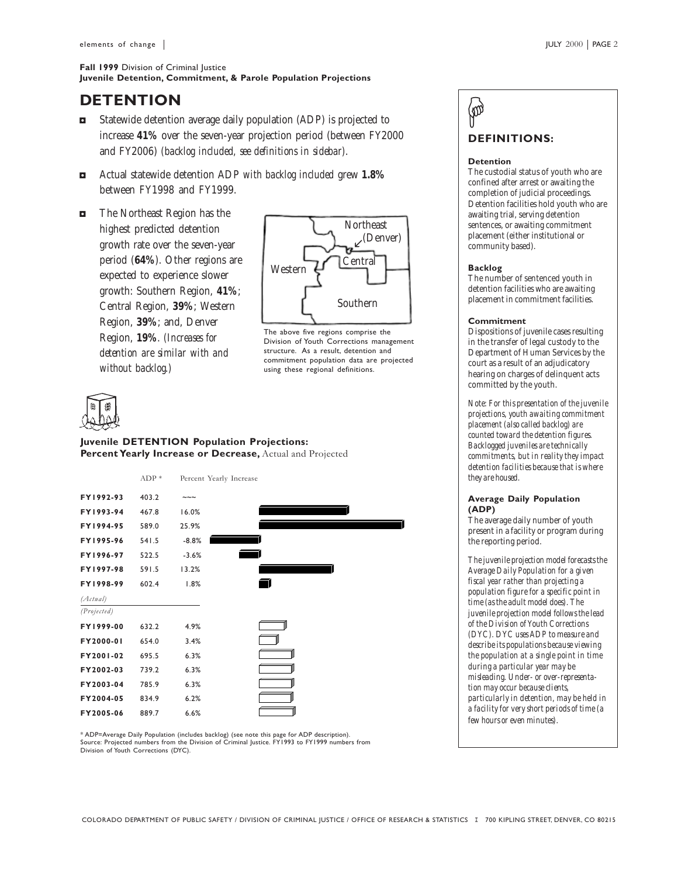#### Fall 1999 Division of Criminal Justice Juvenile Detention, Commitment, & Parole Population Projections

### **DETENTION**

- $\blacksquare$  Statewide detention average daily population (ADP) is projected to increase **41%** over the seven-year projection period (between FY2000 and FY2006) *(backlog included, see definitions in sidebar)*.
- 3 Actual statewide detention ADP *with backlog included* grew **1.8%** between FY1998 and FY1999.
- The Northeast Region has the highest predicted detention growth rate over the seven-year period (**64%**). Other regions are expected to experience slower growth: Southern Region, **41%**; Central Region, **39%**; Western Region, **39%**; and, Denver Region, **19%**. *(Increases for detention are similar with and without backlog.)*



The above five regions comprise the Division of Youth Corrections management structure. As a result, detention and commitment population data are projected using these regional definitions.



Juvenile DETENTION Population Projections: Percent Yearly Increase or Decrease, Actual and Projected



\* ADP=Average Daily Population (includes backlog) (see note this page for ADP description). Source: Projected numbers from the Division of Criminal Justice. FY1993 to FY1999 numbers from Division of Youth Corrections (DYC).

### DEFINITIONS:  $\left( \varnothing \right)$

#### Detention

The custodial status of youth who are confined after arrest or awaiting the completion of judicial proceedings. Detention facilities hold youth who are awaiting trial, serving detention sentences, or awaiting commitment placement (either institutional or community based).

#### Backlog

The number of sentenced youth in detention facilities who are awaiting placement in commitment facilities.

#### **Commitment**

Dispositions of juvenile cases resulting in the transfer of legal custody to the Department of Human Services by the court as a result of an adjudicatory hearing on charges of delinquent acts committed by the youth.

*Note: For this presentation of the juvenile projections, youth awaiting commitment placement (also called backlog) are counted toward the detention figures. Backlogged juveniles are technically commitments, but in reality they impact detention facilities because that is where they are housed.*

#### Average Daily Population (ADP)

The average daily number of youth present in a facility or program during the reporting period.

*The juvenile projection model forecasts the Average Daily Population for a given fiscal year rather than projecting a population figure for a specific point in time (as the adult model does). The juvenile projection model follows the lead of the Division of Youth Corrections (DYC). DYC uses ADP to measure and describe its populations because viewing the population at a single point in time during a particular year may be misleading. Under- or over-representation may occur because clients, particularly in detention, may be held in a facility for very short periods of time (a few hours or even minutes).*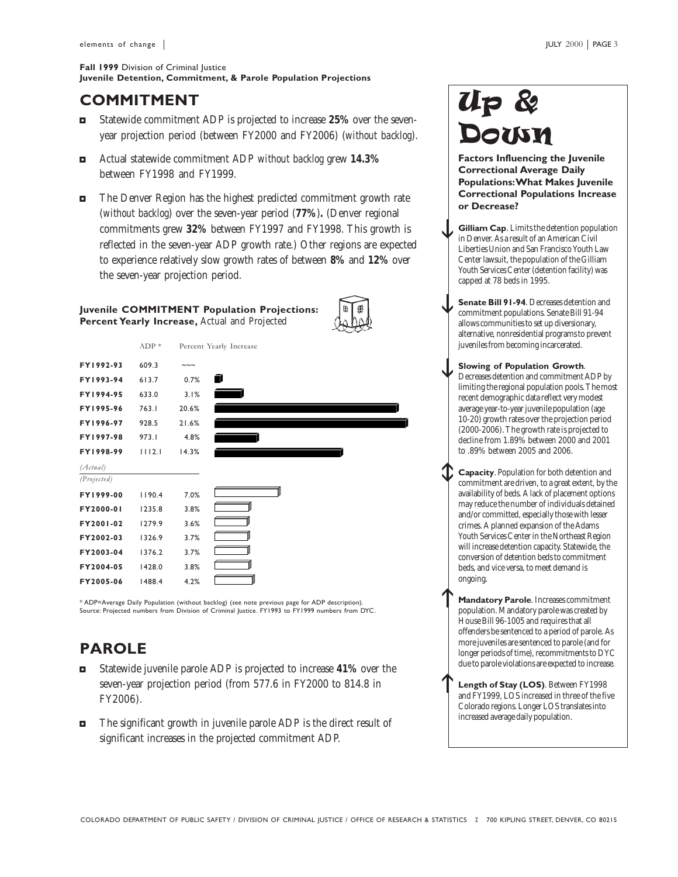#### Fall 1999 Division of Criminal Justice Juvenile Detention, Commitment, & Parole Population Projections

### COMMITMENT

- 3 Statewide commitment ADP is projected to increase **25%** over the sevenyear projection period (between FY2000 and FY2006) (*without backlog*).
- 3 Actual statewide commitment ADP *without backlog* grew **14.3%** between FY1998 and FY1999.
- $\blacksquare$  The Denver Region has the highest predicted commitment growth rate (*without backlog*) over the seven-year period (**77%**)**.** (Denver regional commitments grew **32%** between FY1997 and FY1998. This growth is reflected in the seven-year ADP growth rate.) Other regions are expected to experience relatively slow growth rates of between **8%** and **12%** over the seven-year projection period.

#### Juvenile COMMITMENT Population Projections: Percent Yearly Increase, Actual and Projected





\* ADP=Average Daily Population (without backlog) (see note previous page for ADP description). Source: Projected numbers from Division of Criminal Justice. FY1993 to FY1999 numbers from DYC.

### PAROLE

- 3 Statewide juvenile parole ADP is projected to increase **41%** over the seven-year projection period (from 577.6 in FY2000 to 814.8 in FY2006).
- $\blacksquare$  The significant growth in juvenile parole ADP is the direct result of significant increases in the projected commitment ADP.

# Up & Down

Factors Influencing the Juvenile Correctional Average Daily Populations: What Makes Juvenile Correctional Populations Increase or Decrease?

- Gilliam Cap. Limits the detention population in Denver. As a result of an American Civil Liberties Union and San Francisco Youth Law Center lawsuit, the population of the Gilliam Youth Services Center (detention facility) was capped at 78 beds in 1995.  $\downarrow$
- Senate Bill 91-94. Decreases detention and commitment populations. Senate Bill 91-94 allows communities to set up diversionary, alternative, nonresidential programs to prevent juveniles from becoming incarcerated.  $\downarrow$
- Slowing of Population Growth. Decreases detention and commitment ADP by limiting the regional population pools. The most recent demographic data reflect very modest average year-to-year juvenile population (age 10-20) growth rates over the projection period (2000-2006). The growth rate is projected to decline from 1.89% between 2000 and 2001 to .89% between 2005 and 2006.  $\downarrow$
- Capacity. Population for both detention and commitment are driven, to a great extent, by the availability of beds. A lack of placement options may reduce the number of individuals detained and/or committed, especially those with lesser crimes. A planned expansion of the Adams Youth Services Center in the Northeast Region will increase detention capacity. Statewide, the conversion of detention beds to commitment beds, and vice versa, to meet demand is ongoing.  $\hat{\phi}$

Mandatory Parole. Increases commitment population. Mandatory parole was created by House Bill 96-1005 and requires that all offenders be sentenced to a period of parole. As more juveniles are sentenced to parole (and for longer periods of time), recommitments to DYC due to parole violations are expected to increase.  $\uparrow$ 

Length of Stay (LOS). Between FY1998 and FY1999, LOS increased in three of the five Colorado regions. Longer LOS translates into increased average daily population. h